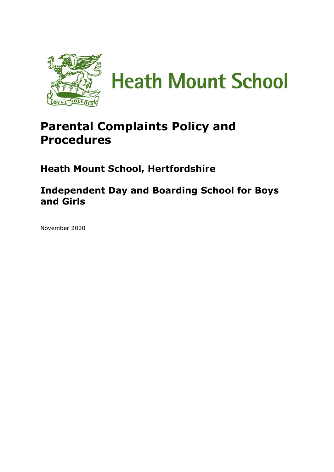

# **Parental Complaints Policy and Procedures**

**Heath Mount School, Hertfordshire**

**Independent Day and Boarding School for Boys and Girls**

November 2020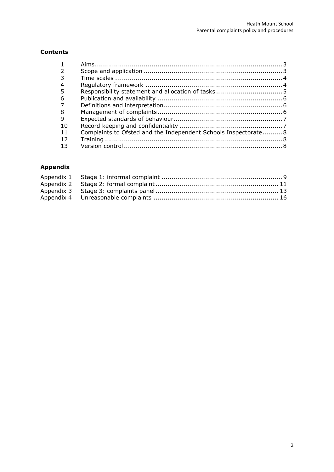## **Contents**

| 6  |                                                                 |  |
|----|-----------------------------------------------------------------|--|
|    |                                                                 |  |
| 8  |                                                                 |  |
| 9  |                                                                 |  |
| 10 |                                                                 |  |
| 11 | Complaints to Ofsted and the Independent Schools Inspectorate 8 |  |
| 12 |                                                                 |  |
|    |                                                                 |  |
|    |                                                                 |  |

# **Appendix**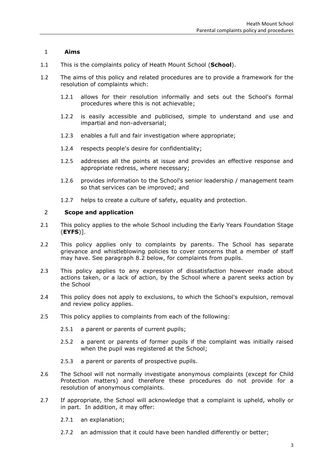## <span id="page-2-0"></span>1 **Aims**

- 1.1 This is the complaints policy of Heath Mount School (**School**).
- 1.2 The aims of this policy and related procedures are to provide a framework for the resolution of complaints which:
	- 1.2.1 allows for their resolution informally and sets out the School's formal procedures where this is not achievable;
	- 1.2.2 is easily accessible and publicised, simple to understand and use and impartial and non-adversarial;
	- 1.2.3 enables a full and fair investigation where appropriate;
	- 1.2.4 respects people's desire for confidentiality;
	- 1.2.5 addresses all the points at issue and provides an effective response and appropriate redress, where necessary;
	- 1.2.6 provides information to the School's senior leadership / management team so that services can be improved; and
	- 1.2.7 helps to create a culture of safety, equality and protection.

## <span id="page-2-1"></span>2 **Scope and application**

- 2.1 This policy applies to the whole School including the Early Years Foundation Stage (**EYFS**)].
- 2.2 This policy applies only to complaints by parents. The School has separate grievance and whistleblowing policies to cover concerns that a member of staff may have. See paragraph 8.2 below, for complaints from pupils.
- 2.3 This policy applies to any expression of dissatisfaction however made about actions taken, or a lack of action, by the School where a parent seeks action by the School
- 2.4 This policy does not apply to exclusions, to which the School's expulsion, removal and review policy applies.
- 2.5 This policy applies to complaints from each of the following:
	- 2.5.1 a parent or parents of current pupils;
	- 2.5.2 a parent or parents of former pupils if the complaint was initially raised when the pupil was registered at the School;
	- 2.5.3 a parent or parents of prospective pupils.
- 2.6 The School will not normally investigate anonymous complaints (except for Child Protection matters) and therefore these procedures do not provide for a resolution of anonymous complaints.
- 2.7 If appropriate, the School will acknowledge that a complaint is upheld, wholly or in part. In addition, it may offer:
	- 2.7.1 an explanation;
	- 2.7.2 an admission that it could have been handled differently or better;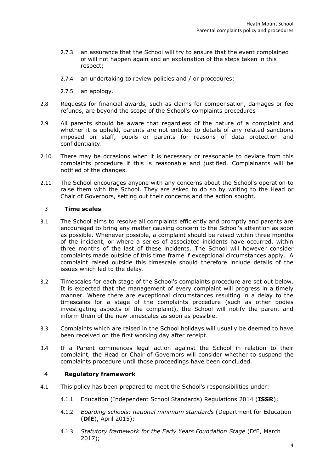- 2.7.3 an assurance that the School will try to ensure that the event complained of will not happen again and an explanation of the steps taken in this respect;
- 2.7.4 an undertaking to review policies and / or procedures;
- 2.7.5 an apology.
- 2.8 Requests for financial awards, such as claims for compensation, damages or fee refunds, are beyond the scope of the School's complaints procedures
- 2.9 All parents should be aware that regardless of the nature of a complaint and whether it is upheld, parents are not entitled to details of any related sanctions imposed on staff, pupils or parents for reasons of data protection and confidentiality.
- 2.10 There may be occasions when it is necessary or reasonable to deviate from this complaints procedure if this is reasonable and justified. Complainants will be notified of the changes.
- 2.11 The School encourages anyone with any concerns about the School's operation to raise them with the School. They are asked to do so by writing to the Head or Chair of Governors, setting out their concerns and the action sought.

## <span id="page-3-0"></span>3 **Time scales**

- 3.1 The School aims to resolve all complaints efficiently and promptly and parents are encouraged to bring any matter causing concern to the School's attention as soon as possible. Whenever possible, a complaint should be raised within three months of the incident, or where a series of associated incidents have occurred, within three months of the last of these incidents. The School will however consider complaints made outside of this time frame if exceptional circumstances apply. A complaint raised outside this timescale should therefore include details of the issues which led to the delay.
- 3.2 Timescales for each stage of the School's complaints procedure are set out below. It is expected that the management of every complaint will progress in a timely manner. Where there are exceptional circumstances resulting in a delay to the timescales for a stage of the complaints procedure (such as other bodies investigating aspects of the complaint), the School will notify the parent and inform them of the new timescales as soon as possible.
- 3.3 Complaints which are raised in the School holidays will usually be deemed to have been received on the first working day after receipt.
- 3.4 If a Parent commences legal action against the School in relation to their complaint, the Head or Chair of Governors will consider whether to suspend the complaints procedure until those proceedings have been concluded.

## <span id="page-3-1"></span>4 **Regulatory framework**

- 4.1 This policy has been prepared to meet the School's responsibilities under:
	- 4.1.1 Education (Independent School Standards) Regulations 2014 (**ISSR**);
	- 4.1.2 *Boarding schools: national minimum standards* (Department for Education (**DfE**), April 2015);
	- 4.1.3 *Statutory framework for the Early Years Foundation Stage* (DfE, March 2017);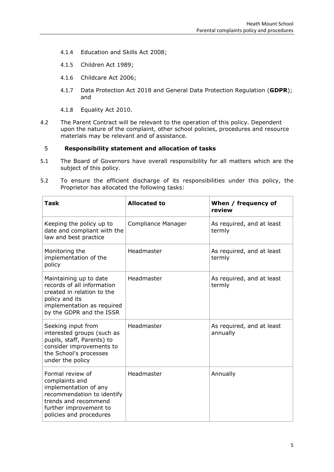- 4.1.4 Education and Skills Act 2008;
- 4.1.5 Children Act 1989;
- 4.1.6 Childcare Act 2006;
- 4.1.7 Data Protection Act 2018 and General Data Protection Regulation (**GDPR**); and
- 4.1.8 Equality Act 2010.
- 4.2 The Parent Contract will be relevant to the operation of this policy. Dependent upon the nature of the complaint, other school policies, procedures and resource materials may be relevant and of assistance.

## <span id="page-4-0"></span>5 **Responsibility statement and allocation of tasks**

- 5.1 The Board of Governors have overall responsibility for all matters which are the subject of this policy.
- 5.2 To ensure the efficient discharge of its responsibilities under this policy, the Proprietor has allocated the following tasks:

| <b>Task</b>                                                                                                                                                            | <b>Allocated to</b> | When / frequency of<br>review         |
|------------------------------------------------------------------------------------------------------------------------------------------------------------------------|---------------------|---------------------------------------|
| Keeping the policy up to<br>date and compliant with the<br>law and best practice                                                                                       | Compliance Manager  | As required, and at least<br>termly   |
| Monitoring the<br>implementation of the<br>policy                                                                                                                      | Headmaster          | As required, and at least<br>termly   |
| Maintaining up to date<br>records of all information<br>created in relation to the<br>policy and its<br>implementation as required<br>by the GDPR and the ISSR         | Headmaster          | As required, and at least<br>termly   |
| Seeking input from<br>interested groups (such as<br>pupils, staff, Parents) to<br>consider improvements to<br>the School's processes<br>under the policy               | Headmaster          | As required, and at least<br>annually |
| Formal review of<br>complaints and<br>implementation of any<br>recommendation to identify<br>trends and recommend<br>further improvement to<br>policies and procedures | Headmaster          | Annually                              |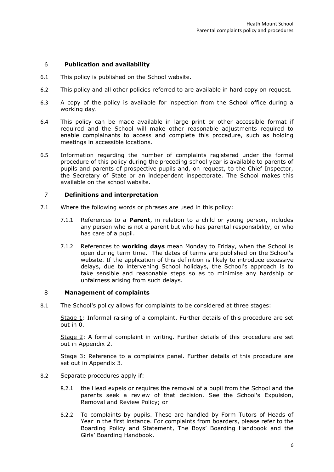## <span id="page-5-0"></span>6 **Publication and availability**

- 6.1 This policy is published on the School website.
- 6.2 This policy and all other policies referred to are available in hard copy on request.
- 6.3 A copy of the policy is available for inspection from the School office during a working day.
- 6.4 This policy can be made available in large print or other accessible format if required and the School will make other reasonable adjustments required to enable complainants to access and complete this procedure, such as holding meetings in accessible locations.
- 6.5 Information regarding the number of complaints registered under the formal procedure of this policy during the preceding school year is available to parents of pupils and parents of prospective pupils and, on request, to the Chief Inspector, the Secretary of State or an independent inspectorate. The School makes this available on the school website.

## <span id="page-5-1"></span>7 **Definitions and interpretation**

- 7.1 Where the following words or phrases are used in this policy:
	- 7.1.1 References to a **Parent**, in relation to a child or young person, includes any person who is not a parent but who has parental responsibility, or who has care of a pupil.
	- 7.1.2 References to **working days** mean Monday to Friday, when the School is open during term time. The dates of terms are published on the School's website. If the application of this definition is likely to introduce excessive delays, due to intervening School holidays, the School's approach is to take sensible and reasonable steps so as to minimise any hardship or unfairness arising from such delays.

#### <span id="page-5-2"></span>8 **Management of complaints**

8.1 The School's policy allows for complaints to be considered at three stages:

Stage 1: Informal raising of a complaint. Further details of this procedure are set out in [0.](#page-8-0)

Stage 2: A formal complaint in writing. Further details of this procedure are set out in [Appendix 2.](#page-10-0)

Stage 3: Reference to a complaints panel. Further details of this procedure are set out in [Appendix 3.](#page-12-0)

- 8.2 Separate procedures apply if:
	- 8.2.1 the Head expels or requires the removal of a pupil from the School and the parents seek a review of that decision. See the School's Expulsion, Removal and Review Policy; or
	- 8.2.2 To complaints by pupils. These are handled by Form Tutors of Heads of Year in the first instance. For complaints from boarders, please refer to the Boarding Policy and Statement, The Boys' Boarding Handbook and the Girls' Boarding Handbook.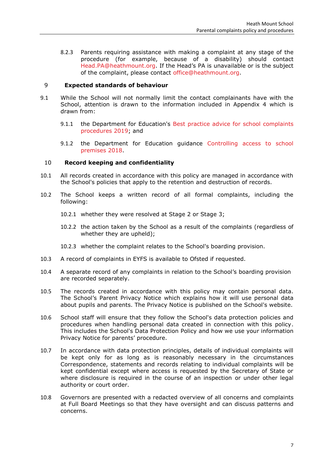8.2.3 Parents requiring assistance with making a complaint at any stage of the procedure (for example, because of a disability) should contact [Head.PA@heathmount.org.](mailto:Head.PA@heathmount.org) If the Head's PA is unavailable or is the subject of the complaint, please contact [office@heathmount.org.](mailto:office@heathmount.org)

## <span id="page-6-0"></span>9 **Expected standards of behaviour**

- 9.1 While the School will not normally limit the contact complainants have with the School, attention is drawn to the information included in Appendix 4 which is drawn from:
	- 9.1.1 the Department for Education's Best practice advice for school complaints [procedures 2019;](https://www.gov.uk/government/publications/school-complaints-procedures/best-practice-advice-for-school-complaints-procedures-2019) and
	- 9.1.2 the Department for Education guidance [Controlling access to school](https://www.gov.uk/government/publications/controlling-access-to-school-premises)  [premises 2018.](https://www.gov.uk/government/publications/controlling-access-to-school-premises)

## <span id="page-6-1"></span>10 **Record keeping and confidentiality**

- 10.1 All records created in accordance with this policy are managed in accordance with the School's policies that apply to the retention and destruction of records.
- 10.2 The School keeps a written record of all formal complaints, including the following:
	- 10.2.1 whether they were resolved at Stage 2 or Stage 3;
	- 10.2.2 the action taken by the School as a result of the complaints (regardless of whether they are upheld);
	- 10.2.3 whether the complaint relates to the School's boarding provision.
- 10.3 A record of complaints in EYFS is available to Ofsted if requested.
- 10.4 A separate record of any complaints in relation to the School's boarding provision are recorded separately.
- 10.5 The records created in accordance with this policy may contain personal data. The School's Parent Privacy Notice which explains how it will use personal data about pupils and parents. The Privacy Notice is published on the School's website.
- 10.6 School staff will ensure that they follow the School's data protection policies and procedures when handling personal data created in connection with this policy. This includes the School's Data Protection Policy and how we use your information Privacy Notice for parents' procedure.
- 10.7 In accordance with data protection principles, details of individual complaints will be kept only for as long as is reasonably necessary in the circumstances Correspondence, statements and records relating to individual complaints will be kept confidential except where access is requested by the Secretary of State or where disclosure is required in the course of an inspection or under other legal authority or court order.
- 10.8 Governors are presented with a redacted overview of all concerns and complaints at Full Board Meetings so that they have oversight and can discuss patterns and concerns.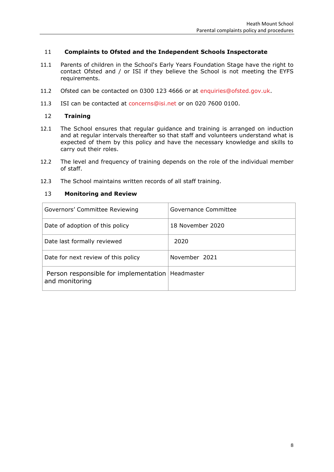## <span id="page-7-0"></span>11 **Complaints to Ofsted and the Independent Schools Inspectorate**

- 11.1 Parents of children in the School's Early Years Foundation Stage have the right to contact Ofsted and / or ISI if they believe the School is not meeting the EYFS requirements.
- 11.2 Ofsted can be contacted on 0300 123 4666 or at [enquiries@ofsted.gov.uk.](mailto:enquiries@ofsted.gov.uk)
- 11.3 ISI can be contacted at [concerns@isi.net](mailto:concerns@isi.net) or on 020 7600 0100.

#### <span id="page-7-1"></span>12 **Training**

- 12.1 The School ensures that regular guidance and training is arranged on induction and at regular intervals thereafter so that staff and volunteers understand what is expected of them by this policy and have the necessary knowledge and skills to carry out their roles.
- 12.2 The level and frequency of training depends on the role of the individual member of staff.
- 12.3 The School maintains written records of all staff training.

#### <span id="page-7-2"></span>13 **Monitoring and Review**

| Governors' Committee Reviewing                          | Governance Committee |
|---------------------------------------------------------|----------------------|
| Date of adoption of this policy                         | 18 November 2020     |
| Date last formally reviewed                             | 2020                 |
| Date for next review of this policy                     | November 2021        |
| Person responsible for implementation<br>and monitoring | Headmaster           |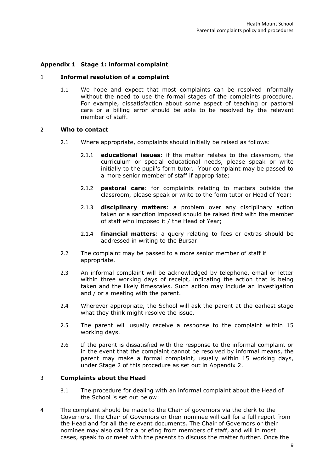## <span id="page-8-0"></span>**Appendix 1 Stage 1: informal complaint**

#### 1 **Informal resolution of a complaint**

1.1 We hope and expect that most complaints can be resolved informally without the need to use the formal stages of the complaints procedure. For example, dissatisfaction about some aspect of teaching or pastoral care or a billing error should be able to be resolved by the relevant member of staff.

#### 2 **Who to contact**

- 2.1 Where appropriate, complaints should initially be raised as follows:
	- 2.1.1 **educational issues**: if the matter relates to the classroom, the curriculum or special educational needs, please speak or write initially to the pupil's form tutor. Your complaint may be passed to a more senior member of staff if appropriate;
	- 2.1.2 **pastoral care**: for complaints relating to matters outside the classroom, please speak or write to the form tutor or Head of Year;
	- 2.1.3 **disciplinary matters**: a problem over any disciplinary action taken or a sanction imposed should be raised first with the member of staff who imposed it / the Head of Year;
	- 2.1.4 **financial matters**: a query relating to fees or extras should be addressed in writing to the Bursar.
- 2.2 The complaint may be passed to a more senior member of staff if appropriate.
- 2.3 An informal complaint will be acknowledged by telephone, email or letter within three working days of receipt, indicating the action that is being taken and the likely timescales. Such action may include an investigation and / or a meeting with the parent.
- 2.4 Wherever appropriate, the School will ask the parent at the earliest stage what they think might resolve the issue.
- 2.5 The parent will usually receive a response to the complaint within 15 working days.
- 2.6 If the parent is dissatisfied with the response to the informal complaint or in the event that the complaint cannot be resolved by informal means, the parent may make a formal complaint, usually within 15 working days, under Stage 2 of this procedure as set out in [Appendix 2.](#page-10-0)

#### 3 **Complaints about the Head**

- 3.1 The procedure for dealing with an informal complaint about the Head of the School is set out below:
- 4 The complaint should be made to the Chair of governors via the clerk to the Governors. The Chair of Governors or their nominee will call for a full report from the Head and for all the relevant documents. The Chair of Governors or their nominee may also call for a briefing from members of staff, and will in most cases, speak to or meet with the parents to discuss the matter further. Once the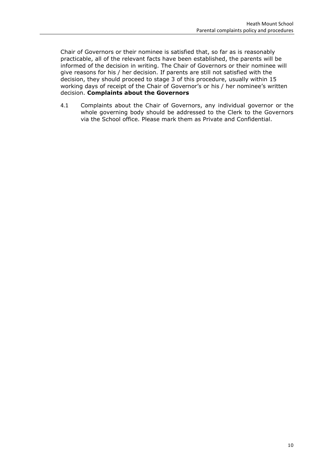Chair of Governors or their nominee is satisfied that, so far as is reasonably practicable, all of the relevant facts have been established, the parents will be informed of the decision in writing. The Chair of Governors or their nominee will give reasons for his / her decision. If parents are still not satisfied with the decision, they should proceed to stage 3 of this procedure, usually within 15 working days of receipt of the Chair of Governor's or his / her nominee's written decision. **Complaints about the Governors**

4.1 Complaints about the Chair of Governors, any individual governor or the whole governing body should be addressed to the Clerk to the Governors via the School office. Please mark them as Private and Confidential.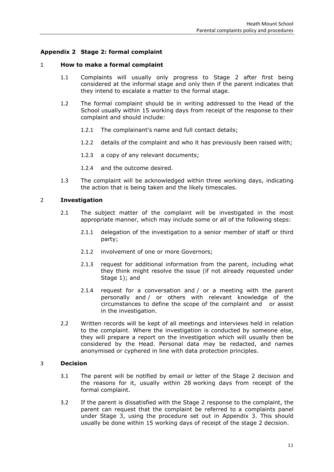## <span id="page-10-0"></span>**Appendix 2 Stage 2: formal complaint**

#### 1 **How to make a formal complaint**

- 1.1 Complaints will usually only progress to Stage 2 after first being considered at the informal stage and only then if the parent indicates that they intend to escalate a matter to the formal stage.
- 1.2 The formal complaint should be in writing addressed to the Head of the School usually within 15 working days from receipt of the response to their complaint and should include:
	- 1.2.1 The complainant's name and full contact details;
	- 1.2.2 details of the complaint and who it has previously been raised with;
	- 1.2.3 a copy of any relevant documents;
	- 1.2.4 and the outcome desired.
- 1.3 The complaint will be acknowledged within three working days, indicating the action that is being taken and the likely timescales.

#### 2 **Investigation**

- 2.1 The subject matter of the complaint will be investigated in the most appropriate manner, which may include some or all of the following steps:
	- 2.1.1 delegation of the investigation to a senior member of staff or third party;
	- 2.1.2 involvement of one or more Governors;
	- 2.1.3 request for additional information from the parent, including what they think might resolve the issue (if not already requested under Stage 1); and
	- 2.1.4 request for a conversation and / or a meeting with the parent personally and / or others with relevant knowledge of the circumstances to define the scope of the complaint and or assist in the investigation.
- 2.2 Written records will be kept of all meetings and interviews held in relation to the complaint. Where the investigation is conducted by someone else, they will prepare a report on the investigation which will usually then be considered by the Head. Personal data may be redacted, and names anonymised or cyphered in line with data protection principles.

#### 3 **Decision**

- 3.1 The parent will be notified by email or letter of the Stage 2 decision and the reasons for it, usually within 28 working days from receipt of the formal complaint.
- 3.2 If the parent is dissatisfied with the Stage 2 response to the complaint, the parent can request that the complaint be referred to a complaints panel under Stage 3, using the procedure set out in [Appendix 3.](#page-12-0) This should usually be done within 15 working days of receipt of the stage 2 decision.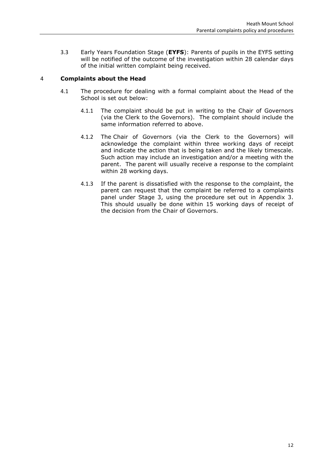3.3 Early Years Foundation Stage (**EYFS**): Parents of pupils in the EYFS setting will be notified of the outcome of the investigation within 28 calendar days of the initial written complaint being received.

## 4 **Complaints about the Head**

- 4.1 The procedure for dealing with a formal complaint about the Head of the School is set out below:
	- 4.1.1 The complaint should be put in writing to the Chair of Governors (via the Clerk to the Governors). The complaint should include the same information referred to above.
	- 4.1.2 The Chair of Governors (via the Clerk to the Governors) will acknowledge the complaint within three working days of receipt and indicate the action that is being taken and the likely timescale. Such action may include an investigation and/or a meeting with the parent. The parent will usually receive a response to the complaint within 28 working days.
	- 4.1.3 If the parent is dissatisfied with the response to the complaint, the parent can request that the complaint be referred to a complaints panel under Stage 3, using the procedure set out in [Appendix 3.](#page-12-0) This should usually be done within 15 working days of receipt of the decision from the Chair of Governors.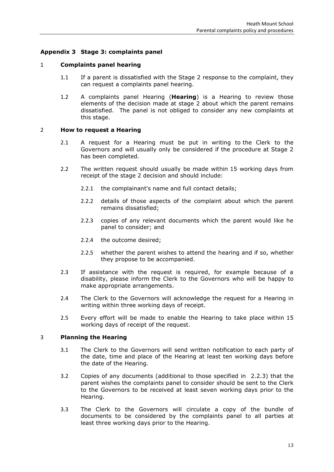## <span id="page-12-0"></span>**Appendix 3 Stage 3: complaints panel**

## 1 **Complaints panel hearing**

- 1.1 If a parent is dissatisfied with the Stage 2 response to the complaint, they can request a complaints panel hearing.
- 1.2 A complaints panel Hearing (**Hearing**) is a Hearing to review those elements of the decision made at stage 2 about which the parent remains dissatisfied. The panel is not obliged to consider any new complaints at this stage.

## 2 **How to request a Hearing**

- 2.1 A request for a Hearing must be put in writing to the Clerk to the Governors and will usually only be considered if the procedure at Stage 2 has been completed.
- 2.2 The written request should usually be made within 15 working days from receipt of the stage 2 decision and should include:
	- 2.2.1 the complainant's name and full contact details;
	- 2.2.2 details of those aspects of the complaint about which the parent remains dissatisfied;
	- 2.2.3 copies of any relevant documents which the parent would like he panel to consider; and
	- 2.2.4 the outcome desired;
	- 2.2.5 whether the parent wishes to attend the hearing and if so, whether they propose to be accompanied.
- 2.3 If assistance with the request is required, for example because of a disability, please inform the Clerk to the Governors who will be happy to make appropriate arrangements.
- 2.4 The Clerk to the Governors will acknowledge the request for a Hearing in writing within three working days of receipt.
- 2.5 Every effort will be made to enable the Hearing to take place within 15 working days of receipt of the request.

#### 3 **Planning the Hearing**

- 3.1 The Clerk to the Governors will send written notification to each party of the date, time and place of the Hearing at least ten working days before the date of the Hearing.
- 3.2 Copies of any documents (additional to those specified in 2.2.3) that the parent wishes the complaints panel to consider should be sent to the Clerk to the Governors to be received at least seven working days prior to the Hearing.
- 3.3 The Clerk to the Governors will circulate a copy of the bundle of documents to be considered by the complaints panel to all parties at least three working days prior to the Hearing.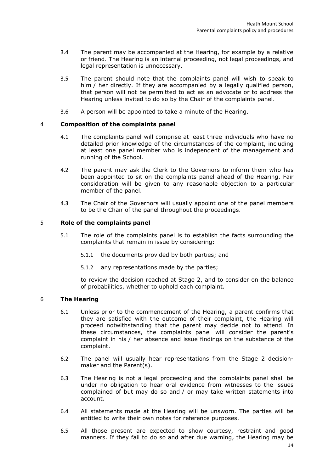- 3.4 The parent may be accompanied at the Hearing, for example by a relative or friend. The Hearing is an internal proceeding, not legal proceedings, and legal representation is unnecessary.
- 3.5 The parent should note that the complaints panel will wish to speak to him / her directly. If they are accompanied by a legally qualified person, that person will not be permitted to act as an advocate or to address the Hearing unless invited to do so by the Chair of the complaints panel.
- 3.6 A person will be appointed to take a minute of the Hearing.

## 4 **Composition of the complaints panel**

- 4.1 The complaints panel will comprise at least three individuals who have no detailed prior knowledge of the circumstances of the complaint, including at least one panel member who is independent of the management and running of the School.
- 4.2 The parent may ask the Clerk to the Governors to inform them who has been appointed to sit on the complaints panel ahead of the Hearing. Fair consideration will be given to any reasonable objection to a particular member of the panel.
- 4.3 The Chair of the Governors will usually appoint one of the panel members to be the Chair of the panel throughout the proceedings.

## 5 **Role of the complaints panel**

- 5.1 The role of the complaints panel is to establish the facts surrounding the complaints that remain in issue by considering:
	- 5.1.1 the documents provided by both parties; and
	- 5.1.2 any representations made by the parties;

to review the decision reached at Stage 2, and to consider on the balance of probabilities, whether to uphold each complaint.

#### 6 **The Hearing**

- 6.1 Unless prior to the commencement of the Hearing, a parent confirms that they are satisfied with the outcome of their complaint, the Hearing will proceed notwithstanding that the parent may decide not to attend. In these circumstances, the complaints panel will consider the parent's complaint in his / her absence and issue findings on the substance of the complaint.
- 6.2 The panel will usually hear representations from the Stage 2 decisionmaker and the Parent(s).
- 6.3 The Hearing is not a legal proceeding and the complaints panel shall be under no obligation to hear oral evidence from witnesses to the issues complained of but may do so and / or may take written statements into account.
- 6.4 All statements made at the Hearing will be unsworn. The parties will be entitled to write their own notes for reference purposes.
- 6.5 All those present are expected to show courtesy, restraint and good manners. If they fail to do so and after due warning, the Hearing may be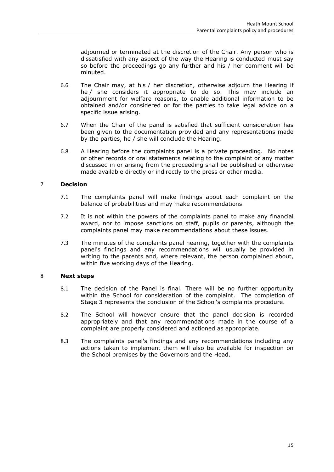adjourned or terminated at the discretion of the Chair. Any person who is dissatisfied with any aspect of the way the Hearing is conducted must say so before the proceedings go any further and his / her comment will be minuted.

- 6.6 The Chair may, at his / her discretion, otherwise adjourn the Hearing if he / she considers it appropriate to do so. This may include an adjournment for welfare reasons, to enable additional information to be obtained and/or considered or for the parties to take legal advice on a specific issue arising.
- 6.7 When the Chair of the panel is satisfied that sufficient consideration has been given to the documentation provided and any representations made by the parties, he / she will conclude the Hearing.
- 6.8 A Hearing before the complaints panel is a private proceeding. No notes or other records or oral statements relating to the complaint or any matter discussed in or arising from the proceeding shall be published or otherwise made available directly or indirectly to the press or other media.

## 7 **Decision**

- 7.1 The complaints panel will make findings about each complaint on the balance of probabilities and may make recommendations.
- 7.2 It is not within the powers of the complaints panel to make any financial award, nor to impose sanctions on staff, pupils or parents, although the complaints panel may make recommendations about these issues.
- 7.3 The minutes of the complaints panel hearing, together with the complaints panel's findings and any recommendations will usually be provided in writing to the parents and, where relevant, the person complained about, within five working days of the Hearing.

#### 8 **Next steps**

- 8.1 The decision of the Panel is final. There will be no further opportunity within the School for consideration of the complaint. The completion of Stage 3 represents the conclusion of the School's complaints procedure.
- 8.2 The School will however ensure that the panel decision is recorded appropriately and that any recommendations made in the course of a complaint are properly considered and actioned as appropriate.
- 8.3 The complaints panel's findings and any recommendations including any actions taken to implement them will also be available for inspection on the School premises by the Governors and the Head.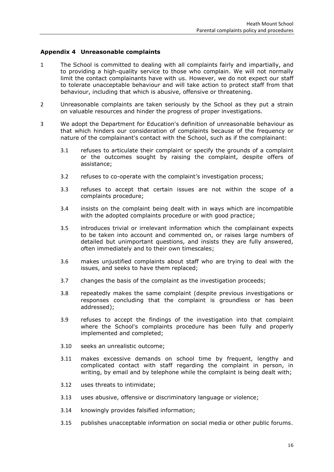### <span id="page-15-0"></span>**Appendix 4 Unreasonable complaints**

- 1 The School is committed to dealing with all complaints fairly and impartially, and to providing a high-quality service to those who complain. We will not normally limit the contact complainants have with us. However, we do not expect our staff to tolerate unacceptable behaviour and will take action to protect staff from that behaviour, including that which is abusive, offensive or threatening.
- 2 Unreasonable complaints are taken seriously by the School as they put a strain on valuable resources and hinder the progress of proper investigations.
- 3 We adopt the Department for Education's definition of unreasonable behaviour as that which hinders our consideration of complaints because of the frequency or nature of the complainant's contact with the School, such as if the complainant:
	- 3.1 refuses to articulate their complaint or specify the grounds of a complaint or the outcomes sought by raising the complaint, despite offers of assistance;
	- 3.2 refuses to co-operate with the complaint's investigation process;
	- 3.3 refuses to accept that certain issues are not within the scope of a complaints procedure;
	- 3.4 insists on the complaint being dealt with in ways which are incompatible with the adopted complaints procedure or with good practice;
	- 3.5 introduces trivial or irrelevant information which the complainant expects to be taken into account and commented on, or raises large numbers of detailed but unimportant questions, and insists they are fully answered, often immediately and to their own timescales;
	- 3.6 makes unjustified complaints about staff who are trying to deal with the issues, and seeks to have them replaced;
	- 3.7 changes the basis of the complaint as the investigation proceeds;
	- 3.8 repeatedly makes the same complaint (despite previous investigations or responses concluding that the complaint is groundless or has been addressed);
	- 3.9 refuses to accept the findings of the investigation into that complaint where the School's complaints procedure has been fully and properly implemented and completed;
	- 3.10 seeks an unrealistic outcome;
	- 3.11 makes excessive demands on school time by frequent, lengthy and complicated contact with staff regarding the complaint in person, in writing, by email and by telephone while the complaint is being dealt with;
	- 3.12 uses threats to intimidate;
	- 3.13 uses abusive, offensive or discriminatory language or violence;
	- 3.14 knowingly provides falsified information;
	- 3.15 publishes unacceptable information on social media or other public forums.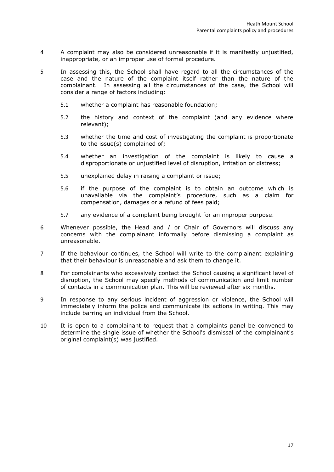- 4 A complaint may also be considered unreasonable if it is manifestly unjustified, inappropriate, or an improper use of formal procedure.
- 5 In assessing this, the School shall have regard to all the circumstances of the case and the nature of the complaint itself rather than the nature of the complainant. In assessing all the circumstances of the case, the School will consider a range of factors including:
	- 5.1 whether a complaint has reasonable foundation;
	- 5.2 the history and context of the complaint (and any evidence where relevant);
	- 5.3 whether the time and cost of investigating the complaint is proportionate to the issue(s) complained of;
	- 5.4 whether an investigation of the complaint is likely to cause a disproportionate or unjustified level of disruption, irritation or distress;
	- 5.5 unexplained delay in raising a complaint or issue;
	- 5.6 if the purpose of the complaint is to obtain an outcome which is unavailable via the complaint's procedure, such as a claim for compensation, damages or a refund of fees paid;
	- 5.7 any evidence of a complaint being brought for an improper purpose.
- 6 Whenever possible, the Head and / or Chair of Governors will discuss any concerns with the complainant informally before dismissing a complaint as unreasonable.
- 7 If the behaviour continues, the School will write to the complainant explaining that their behaviour is unreasonable and ask them to change it.
- 8 For complainants who excessively contact the School causing a significant level of disruption, the School may specify methods of communication and limit number of contacts in a communication plan. This will be reviewed after six months.
- 9 In response to any serious incident of aggression or violence, the School will immediately inform the police and communicate its actions in writing. This may include barring an individual from the School.
- 10 It is open to a complainant to request that a complaints panel be convened to determine the single issue of whether the School's dismissal of the complainant's original complaint(s) was justified.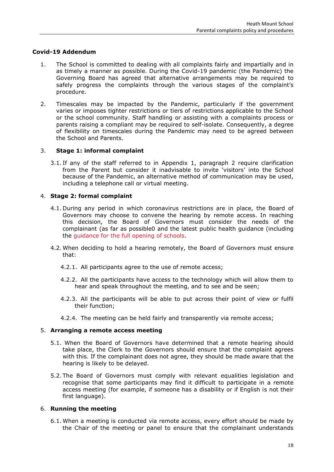## **Covid-19 Addendum**

- 1. The School is committed to dealing with all complaints fairly and impartially and in as timely a manner as possible. During the Covid-19 pandemic (the Pandemic) the Governing Board has agreed that alternative arrangements may be required to safely progress the complaints through the various stages of the complaint's procedure.
- 2. Timescales may be impacted by the Pandemic, particularly if the government varies or imposes tighter restrictions or tiers of restrictions applicable to the School or the school community. Staff handling or assisting with a complaints process or parents raising a compliant may be required to self-isolate. Consequently, a degree of flexibility on timescales during the Pandemic may need to be agreed between the School and Parents.

#### 3. **Stage 1: informal complaint**

3.1. If any of the staff referred to in Appendix 1, paragraph 2 require clarification from the Parent but consider it inadvisable to invite 'visitors' into the School because of the Pandemic, an alternative method of communication may be used, including a telephone call or virtual meeting.

#### 4. **Stage 2: formal complaint**

- 4.1. During any period in which coronavirus restrictions are in place, the Board of Governors may choose to convene the hearing by remote access. In reaching this decision, the Board of Governors must consider the needs of the complainant (as far as possible0 and the latest public health guidance (including the [guidance for the full opening of schools.](https://www.gov.uk/government/publications/actions-for-schools-during-the-coronavirus-outbreak/guidance-for-full-opening-schools)
- 4.2. When deciding to hold a hearing remotely, the Board of Governors must ensure that:
	- 4.2.1. All participants agree to the use of remote access;
	- 4.2.2. All the participants have access to the technology which will allow them to hear and speak throughout the meeting, and to see and be seen;
	- 4.2.3. All the participants will be able to put across their point of view or fulfil their function;
	- 4.2.4. The meeting can be held fairly and transparently via remote access;

#### 5. **Arranging a remote access meeting**

- 5.1. When the Board of Governors have determined that a remote hearing should take place, the Clerk to the Governors should ensure that the complaint agrees with this. If the complainant does not agree, they should be made aware that the hearing is likely to be delayed.
- 5.2. The Board of Governors must comply with relevant equalities legislation and recognise that some participants may find it difficult to participate in a remote access meeting (for example, if someone has a disability or if English is not their first language).

#### 6. **Running the meeting**

6.1. When a meeting is conducted via remote access, every effort should be made by the Chair of the meeting or panel to ensure that the complainant understands